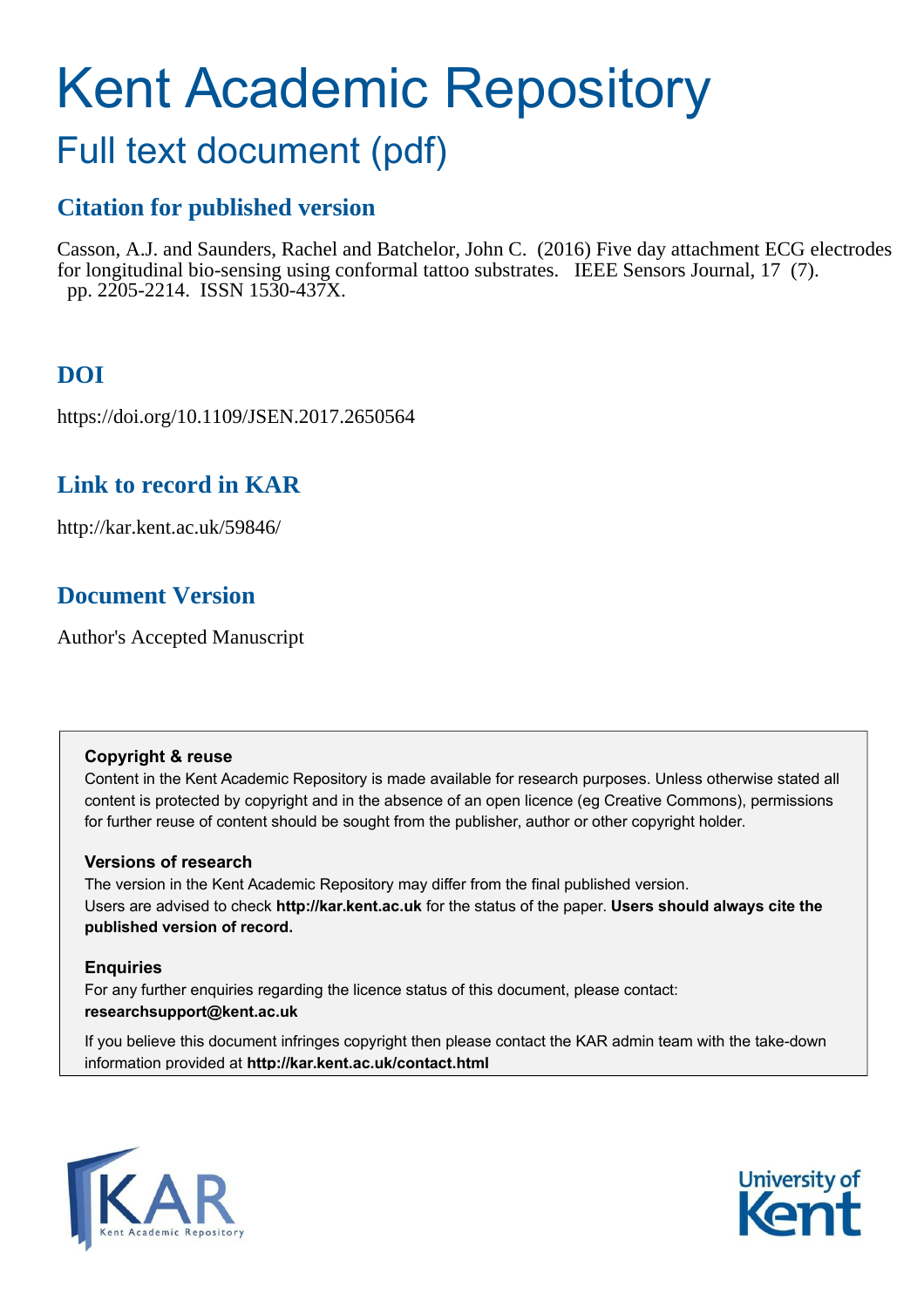# Kent Academic Repository

# Full text document (pdf)

## **Citation for published version**

Casson, A.J. and Saunders, Rachel and Batchelor, John C. (2016) Five day attachment ECG electrodes for longitudinal bio-sensing using conformal tattoo substrates. IEEE Sensors Journal, 17 (7). pp. 2205-2214. ISSN 1530-437X.

# **DOI**

https://doi.org/10.1109/JSEN.2017.2650564

### **Link to record in KAR**

http://kar.kent.ac.uk/59846/

### **Document Version**

Author's Accepted Manuscript

#### **Copyright & reuse**

Content in the Kent Academic Repository is made available for research purposes. Unless otherwise stated all content is protected by copyright and in the absence of an open licence (eg Creative Commons), permissions for further reuse of content should be sought from the publisher, author or other copyright holder.

#### **Versions of research**

The version in the Kent Academic Repository may differ from the final published version. Users are advised to check **http://kar.kent.ac.uk** for the status of the paper. **Users should always cite the published version of record.**

#### **Enquiries**

For any further enquiries regarding the licence status of this document, please contact: **researchsupport@kent.ac.uk**

If you believe this document infringes copyright then please contact the KAR admin team with the take-down information provided at **http://kar.kent.ac.uk/contact.html**



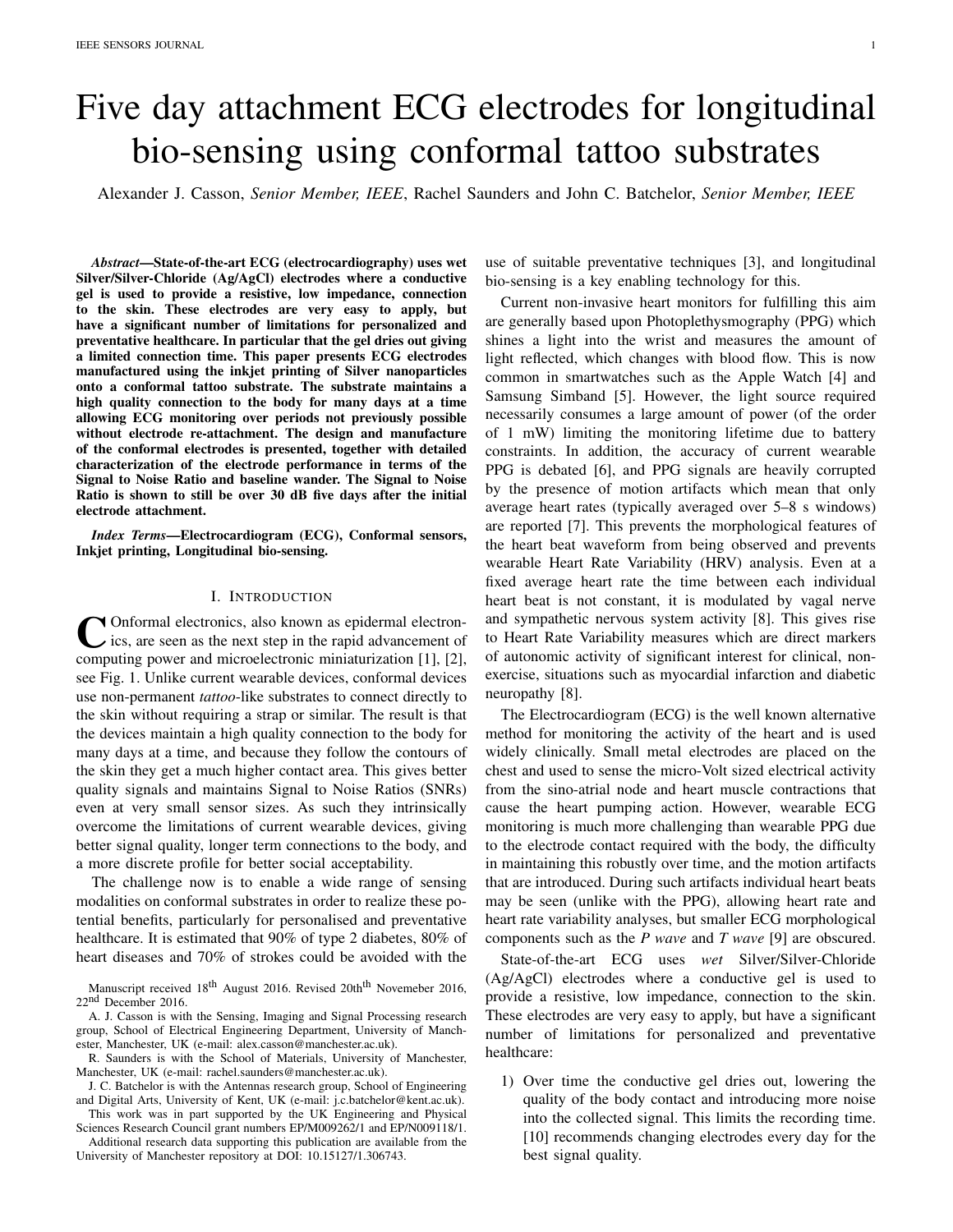# Five day attachment ECG electrodes for longitudinal bio-sensing using conformal tattoo substrates

Alexander J. Casson, *Senior Member, IEEE*, Rachel Saunders and John C. Batchelor, *Senior Member, IEEE*

*Abstract*—State-of-the-art ECG (electrocardiography) uses wet Silver/Silver-Chloride (Ag/AgCl) electrodes where a conductive gel is used to provide a resistive, low impedance, connection to the skin. These electrodes are very easy to apply, but have a significant number of limitations for personalized and preventative healthcare. In particular that the gel dries out giving a limited connection time. This paper presents ECG electrodes manufactured using the inkjet printing of Silver nanoparticles onto a conformal tattoo substrate. The substrate maintains a high quality connection to the body for many days at a time allowing ECG monitoring over periods not previously possible without electrode re-attachment. The design and manufacture of the conformal electrodes is presented, together with detailed characterization of the electrode performance in terms of the Signal to Noise Ratio and baseline wander. The Signal to Noise Ratio is shown to still be over 30 dB five days after the initial electrode attachment.

*Index Terms*—Electrocardiogram (ECG), Conformal sensors, Inkjet printing, Longitudinal bio-sensing.

#### I. INTRODUCTION

Conformal electronics, also known as epidermal electron-<br>ics, are seen as the next step in the rapid advancement of<br>computing power and microelectronic miniaturization [1], [2], Onformal electronics, also known as epidermal electronics, are seen as the next step in the rapid advancement of see Fig. 1. Unlike current wearable devices, conformal devices use non-permanent *tattoo*-like substrates to connect directly to the skin without requiring a strap or similar. The result is that the devices maintain a high quality connection to the body for many days at a time, and because they follow the contours of the skin they get a much higher contact area. This gives better quality signals and maintains Signal to Noise Ratios (SNRs) even at very small sensor sizes. As such they intrinsically overcome the limitations of current wearable devices, giving better signal quality, longer term connections to the body, and a more discrete profile for better social acceptability.

The challenge now is to enable a wide range of sensing modalities on conformal substrates in order to realize these potential benefits, particularly for personalised and preventative healthcare. It is estimated that 90% of type 2 diabetes, 80% of heart diseases and 70% of strokes could be avoided with the

A. J. Casson is with the Sensing, Imaging and Signal Processing research group, School of Electrical Engineering Department, University of Manchester, Manchester, UK (e-mail: alex.casson@manchester.ac.uk).

J. C. Batchelor is with the Antennas research group, School of Engineering and Digital Arts, University of Kent, UK (e-mail: j.c.batchelor@kent.ac.uk).

This work was in part supported by the UK Engineering and Physical Sciences Research Council grant numbers EP/M009262/1 and EP/N009118/1.

Additional research data supporting this publication are available from the University of Manchester repository at DOI: 10.15127/1.306743.

use of suitable preventative techniques [3], and longitudinal bio-sensing is a key enabling technology for this.

Current non-invasive heart monitors for fulfilling this aim are generally based upon Photoplethysmography (PPG) which shines a light into the wrist and measures the amount of light reflected, which changes with blood flow. This is now common in smartwatches such as the Apple Watch [4] and Samsung Simband [5]. However, the light source required necessarily consumes a large amount of power (of the order of 1 mW) limiting the monitoring lifetime due to battery constraints. In addition, the accuracy of current wearable PPG is debated [6], and PPG signals are heavily corrupted by the presence of motion artifacts which mean that only average heart rates (typically averaged over 5–8 s windows) are reported [7]. This prevents the morphological features of the heart beat waveform from being observed and prevents wearable Heart Rate Variability (HRV) analysis. Even at a fixed average heart rate the time between each individual heart beat is not constant, it is modulated by vagal nerve and sympathetic nervous system activity [8]. This gives rise to Heart Rate Variability measures which are direct markers of autonomic activity of significant interest for clinical, nonexercise, situations such as myocardial infarction and diabetic neuropathy [8].

The Electrocardiogram (ECG) is the well known alternative method for monitoring the activity of the heart and is used widely clinically. Small metal electrodes are placed on the chest and used to sense the micro-Volt sized electrical activity from the sino-atrial node and heart muscle contractions that cause the heart pumping action. However, wearable ECG monitoring is much more challenging than wearable PPG due to the electrode contact required with the body, the difficulty in maintaining this robustly over time, and the motion artifacts that are introduced. During such artifacts individual heart beats may be seen (unlike with the PPG), allowing heart rate and heart rate variability analyses, but smaller ECG morphological components such as the *P wave* and *T wave* [9] are obscured.

State-of-the-art ECG uses *wet* Silver/Silver-Chloride (Ag/AgCl) electrodes where a conductive gel is used to provide a resistive, low impedance, connection to the skin. These electrodes are very easy to apply, but have a significant number of limitations for personalized and preventative healthcare:

1) Over time the conductive gel dries out, lowering the quality of the body contact and introducing more noise into the collected signal. This limits the recording time. [10] recommends changing electrodes every day for the best signal quality.

Manuscript received 18<sup>th</sup> August 2016. Revised 20th<sup>th</sup> Novemeber 2016, 22<sup>nd</sup> December 2016.

R. Saunders is with the School of Materials, University of Manchester, Manchester, UK (e-mail: rachel.saunders@manchester.ac.uk).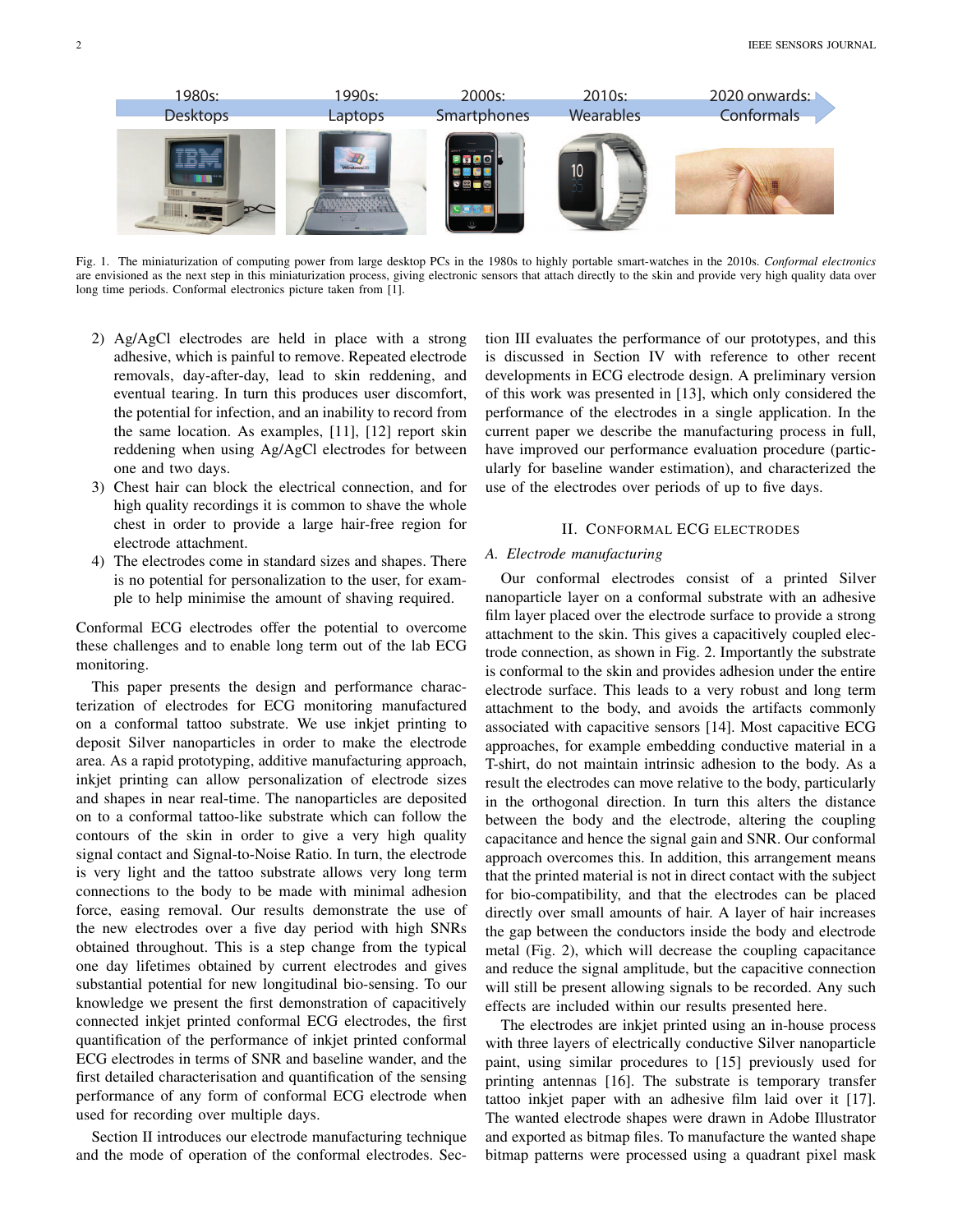

Fig. 1. The miniaturization of computing power from large desktop PCs in the 1980s to highly portable smart-watches in the 2010s. *Conformal electronics* are envisioned as the next step in this miniaturization process, giving electronic sensors that attach directly to the skin and provide very high quality data over long time periods. Conformal electronics picture taken from [1].

- 2) Ag/AgCl electrodes are held in place with a strong adhesive, which is painful to remove. Repeated electrode removals, day-after-day, lead to skin reddening, and eventual tearing. In turn this produces user discomfort, the potential for infection, and an inability to record from the same location. As examples, [11], [12] report skin reddening when using Ag/AgCl electrodes for between one and two days.
- 3) Chest hair can block the electrical connection, and for high quality recordings it is common to shave the whole chest in order to provide a large hair-free region for electrode attachment.
- 4) The electrodes come in standard sizes and shapes. There is no potential for personalization to the user, for example to help minimise the amount of shaving required.

Conformal ECG electrodes offer the potential to overcome these challenges and to enable long term out of the lab ECG monitoring.

This paper presents the design and performance characterization of electrodes for ECG monitoring manufactured on a conformal tattoo substrate. We use inkjet printing to deposit Silver nanoparticles in order to make the electrode area. As a rapid prototyping, additive manufacturing approach, inkjet printing can allow personalization of electrode sizes and shapes in near real-time. The nanoparticles are deposited on to a conformal tattoo-like substrate which can follow the contours of the skin in order to give a very high quality signal contact and Signal-to-Noise Ratio. In turn, the electrode is very light and the tattoo substrate allows very long term connections to the body to be made with minimal adhesion force, easing removal. Our results demonstrate the use of the new electrodes over a five day period with high SNRs obtained throughout. This is a step change from the typical one day lifetimes obtained by current electrodes and gives substantial potential for new longitudinal bio-sensing. To our knowledge we present the first demonstration of capacitively connected inkjet printed conformal ECG electrodes, the first quantification of the performance of inkjet printed conformal ECG electrodes in terms of SNR and baseline wander, and the first detailed characterisation and quantification of the sensing performance of any form of conformal ECG electrode when used for recording over multiple days.

Section II introduces our electrode manufacturing technique and the mode of operation of the conformal electrodes. Section III evaluates the performance of our prototypes, and this is discussed in Section IV with reference to other recent developments in ECG electrode design. A preliminary version of this work was presented in [13], which only considered the performance of the electrodes in a single application. In the current paper we describe the manufacturing process in full, have improved our performance evaluation procedure (particularly for baseline wander estimation), and characterized the use of the electrodes over periods of up to five days.

#### II. CONFORMAL ECG ELECTRODES

#### *A. Electrode manufacturing*

Our conformal electrodes consist of a printed Silver nanoparticle layer on a conformal substrate with an adhesive film layer placed over the electrode surface to provide a strong attachment to the skin. This gives a capacitively coupled electrode connection, as shown in Fig. 2. Importantly the substrate is conformal to the skin and provides adhesion under the entire electrode surface. This leads to a very robust and long term attachment to the body, and avoids the artifacts commonly associated with capacitive sensors [14]. Most capacitive ECG approaches, for example embedding conductive material in a T-shirt, do not maintain intrinsic adhesion to the body. As a result the electrodes can move relative to the body, particularly in the orthogonal direction. In turn this alters the distance between the body and the electrode, altering the coupling capacitance and hence the signal gain and SNR. Our conformal approach overcomes this. In addition, this arrangement means that the printed material is not in direct contact with the subject for bio-compatibility, and that the electrodes can be placed directly over small amounts of hair. A layer of hair increases the gap between the conductors inside the body and electrode metal (Fig. 2), which will decrease the coupling capacitance and reduce the signal amplitude, but the capacitive connection will still be present allowing signals to be recorded. Any such effects are included within our results presented here.

The electrodes are inkjet printed using an in-house process with three layers of electrically conductive Silver nanoparticle paint, using similar procedures to [15] previously used for printing antennas [16]. The substrate is temporary transfer tattoo inkjet paper with an adhesive film laid over it [17]. The wanted electrode shapes were drawn in Adobe Illustrator and exported as bitmap files. To manufacture the wanted shape bitmap patterns were processed using a quadrant pixel mask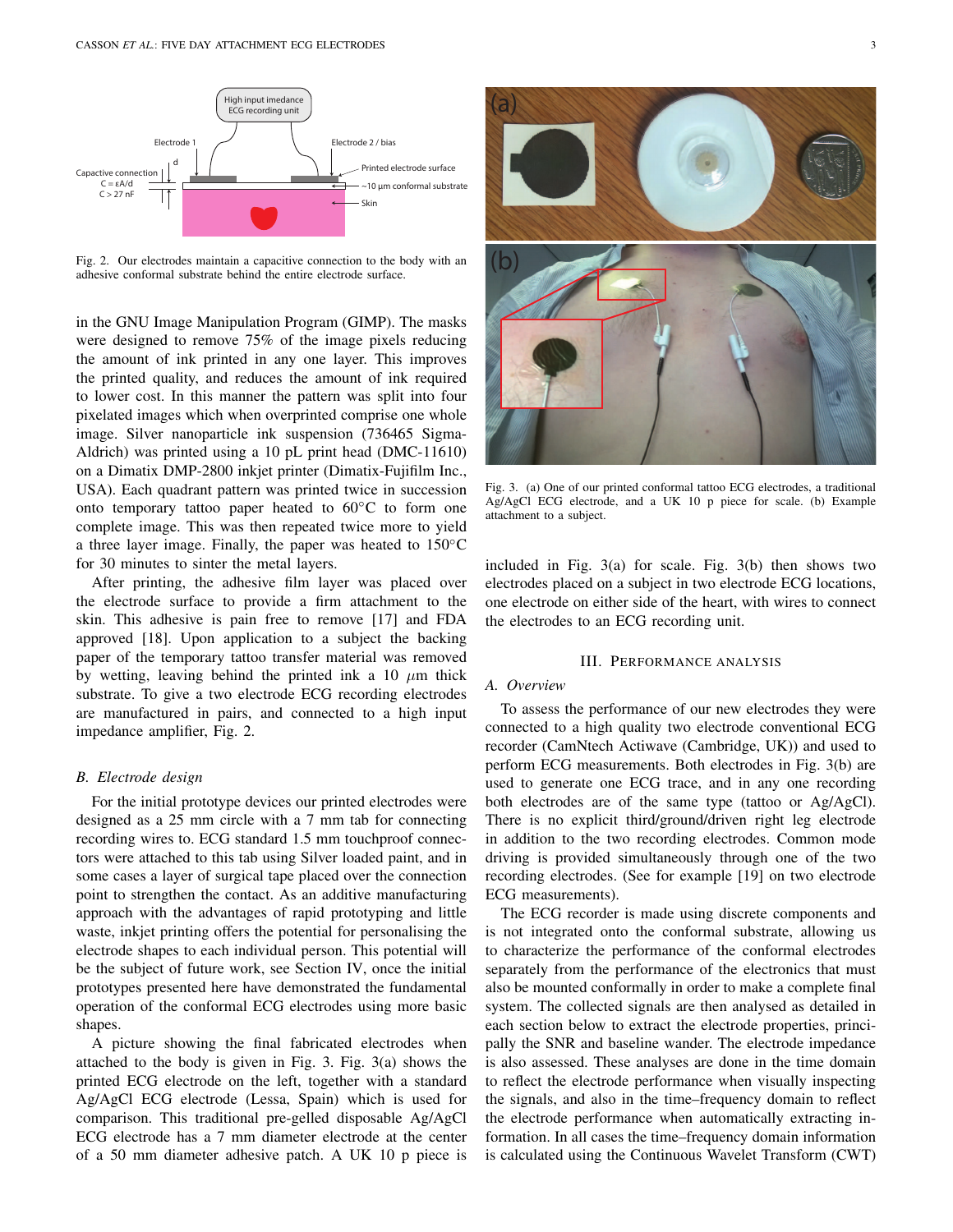

Fig. 2. Our electrodes maintain a capacitive connection to the body with an adhesive conformal substrate behind the entire electrode surface.

in the GNU Image Manipulation Program (GIMP). The masks were designed to remove 75% of the image pixels reducing the amount of ink printed in any one layer. This improves the printed quality, and reduces the amount of ink required to lower cost. In this manner the pattern was split into four pixelated images which when overprinted comprise one whole image. Silver nanoparticle ink suspension (736465 Sigma-Aldrich) was printed using a 10 pL print head (DMC-11610) on a Dimatix DMP-2800 inkjet printer (Dimatix-Fujifilm Inc., USA). Each quadrant pattern was printed twice in succession onto temporary tattoo paper heated to  $60^{\circ}$ C to form one complete image. This was then repeated twice more to yield a three layer image. Finally, the paper was heated to 150◦C for 30 minutes to sinter the metal layers.

After printing, the adhesive film layer was placed over the electrode surface to provide a firm attachment to the skin. This adhesive is pain free to remove [17] and FDA approved [18]. Upon application to a subject the backing paper of the temporary tattoo transfer material was removed by wetting, leaving behind the printed ink a 10  $\mu$ m thick substrate. To give a two electrode ECG recording electrodes are manufactured in pairs, and connected to a high input impedance amplifier, Fig. 2.

#### *B. Electrode design*

For the initial prototype devices our printed electrodes were designed as a 25 mm circle with a 7 mm tab for connecting recording wires to. ECG standard 1.5 mm touchproof connectors were attached to this tab using Silver loaded paint, and in some cases a layer of surgical tape placed over the connection point to strengthen the contact. As an additive manufacturing approach with the advantages of rapid prototyping and little waste, inkjet printing offers the potential for personalising the electrode shapes to each individual person. This potential will be the subject of future work, see Section IV, once the initial prototypes presented here have demonstrated the fundamental operation of the conformal ECG electrodes using more basic shapes.

A picture showing the final fabricated electrodes when attached to the body is given in Fig. 3. Fig. 3(a) shows the printed ECG electrode on the left, together with a standard Ag/AgCl ECG electrode (Lessa, Spain) which is used for comparison. This traditional pre-gelled disposable Ag/AgCl ECG electrode has a 7 mm diameter electrode at the center of a 50 mm diameter adhesive patch. A UK 10 p piece is



Fig. 3. (a) One of our printed conformal tattoo ECG electrodes, a traditional Ag/AgCl ECG electrode, and a UK 10 p piece for scale. (b) Example attachment to a subject.

included in Fig. 3(a) for scale. Fig. 3(b) then shows two electrodes placed on a subject in two electrode ECG locations, one electrode on either side of the heart, with wires to connect the electrodes to an ECG recording unit.

#### III. PERFORMANCE ANALYSIS

#### *A. Overview*

To assess the performance of our new electrodes they were connected to a high quality two electrode conventional ECG recorder (CamNtech Actiwave (Cambridge, UK)) and used to perform ECG measurements. Both electrodes in Fig. 3(b) are used to generate one ECG trace, and in any one recording both electrodes are of the same type (tattoo or Ag/AgCl). There is no explicit third/ground/driven right leg electrode in addition to the two recording electrodes. Common mode driving is provided simultaneously through one of the two recording electrodes. (See for example [19] on two electrode ECG measurements).

The ECG recorder is made using discrete components and is not integrated onto the conformal substrate, allowing us to characterize the performance of the conformal electrodes separately from the performance of the electronics that must also be mounted conformally in order to make a complete final system. The collected signals are then analysed as detailed in each section below to extract the electrode properties, principally the SNR and baseline wander. The electrode impedance is also assessed. These analyses are done in the time domain to reflect the electrode performance when visually inspecting the signals, and also in the time–frequency domain to reflect the electrode performance when automatically extracting information. In all cases the time–frequency domain information is calculated using the Continuous Wavelet Transform (CWT)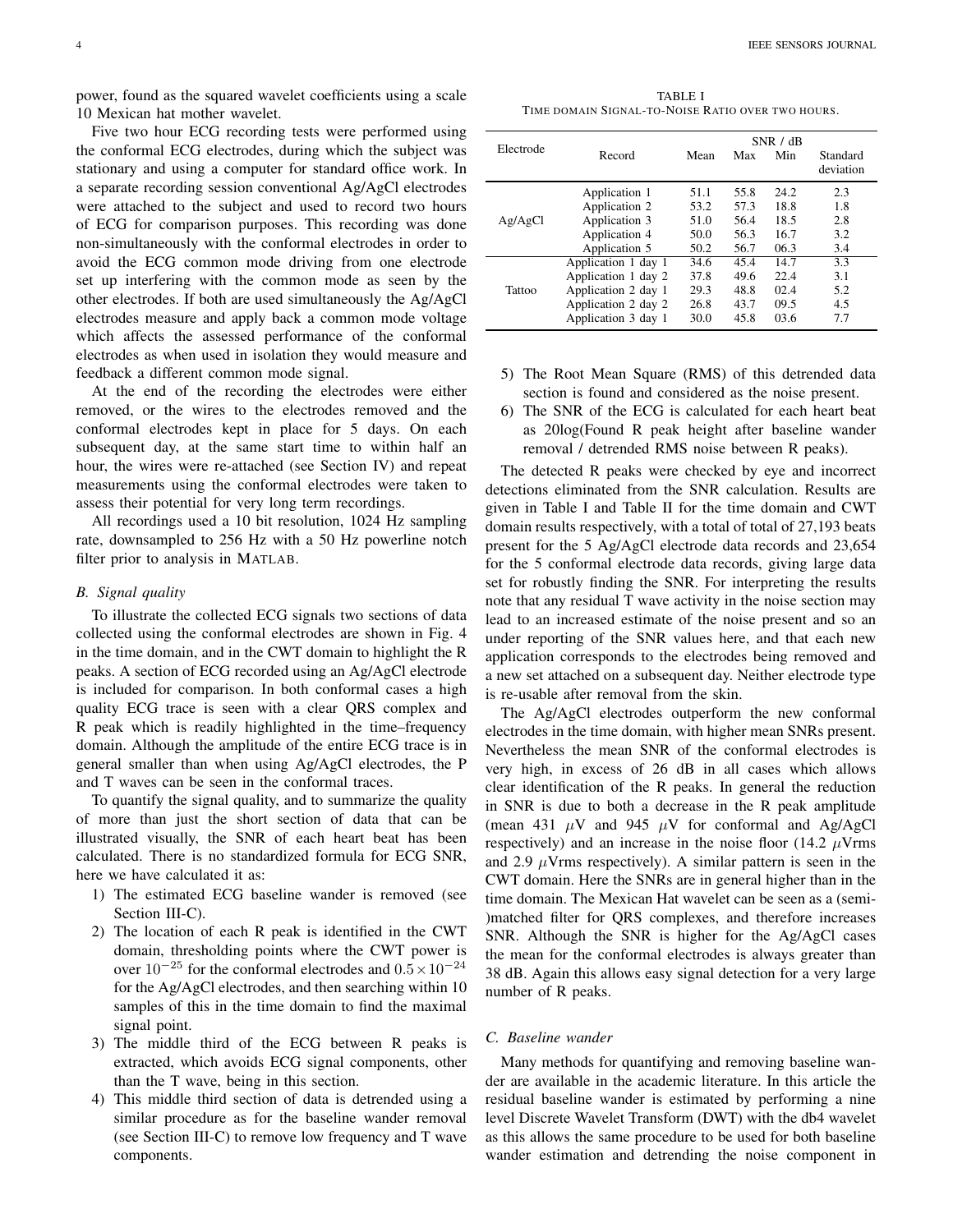power, found as the squared wavelet coefficients using a scale 10 Mexican hat mother wavelet.

Five two hour ECG recording tests were performed using the conformal ECG electrodes, during which the subject was stationary and using a computer for standard office work. In a separate recording session conventional Ag/AgCl electrodes were attached to the subject and used to record two hours of ECG for comparison purposes. This recording was done non-simultaneously with the conformal electrodes in order to avoid the ECG common mode driving from one electrode set up interfering with the common mode as seen by the other electrodes. If both are used simultaneously the Ag/AgCl electrodes measure and apply back a common mode voltage which affects the assessed performance of the conformal electrodes as when used in isolation they would measure and feedback a different common mode signal.

At the end of the recording the electrodes were either removed, or the wires to the electrodes removed and the conformal electrodes kept in place for 5 days. On each subsequent day, at the same start time to within half an hour, the wires were re-attached (see Section IV) and repeat measurements using the conformal electrodes were taken to assess their potential for very long term recordings.

All recordings used a 10 bit resolution, 1024 Hz sampling rate, downsampled to 256 Hz with a 50 Hz powerline notch filter prior to analysis in MATLAB.

#### *B. Signal quality*

To illustrate the collected ECG signals two sections of data collected using the conformal electrodes are shown in Fig. 4 in the time domain, and in the CWT domain to highlight the R peaks. A section of ECG recorded using an Ag/AgCl electrode is included for comparison. In both conformal cases a high quality ECG trace is seen with a clear QRS complex and R peak which is readily highlighted in the time–frequency domain. Although the amplitude of the entire ECG trace is in general smaller than when using Ag/AgCl electrodes, the P and T waves can be seen in the conformal traces.

To quantify the signal quality, and to summarize the quality of more than just the short section of data that can be illustrated visually, the SNR of each heart beat has been calculated. There is no standardized formula for ECG SNR, here we have calculated it as:

- 1) The estimated ECG baseline wander is removed (see Section III-C).
- 2) The location of each R peak is identified in the CWT domain, thresholding points where the CWT power is over  $10^{-25}$  for the conformal electrodes and  $0.5 \times 10^{-24}$ for the Ag/AgCl electrodes, and then searching within 10 samples of this in the time domain to find the maximal signal point.
- 3) The middle third of the ECG between R peaks is extracted, which avoids ECG signal components, other than the T wave, being in this section.
- 4) This middle third section of data is detrended using a similar procedure as for the baseline wander removal (see Section III-C) to remove low frequency and T wave components.

4 IEEE SENSORS JOURNAL

TABLE I TIME DOMAIN SIGNAL-TO-NOISE RATIO OVER TWO HOURS.

| Electrode |                     | SNR / dB |      |      |                       |  |  |  |
|-----------|---------------------|----------|------|------|-----------------------|--|--|--|
|           | Record              | Mean     | Max  | Min  | Standard<br>deviation |  |  |  |
| Ag/AgCl   | Application 1       | 51.1     | 55.8 | 24.2 | 2.3                   |  |  |  |
|           | Application 2       | 53.2     | 57.3 | 18.8 | 1.8                   |  |  |  |
|           | Application 3       | 51.0     | 56.4 | 18.5 | 2.8                   |  |  |  |
|           | Application 4       | 50.0     | 56.3 | 16.7 | 3.2                   |  |  |  |
|           | Application 5       | 50.2     | 56.7 | 06.3 | 3.4                   |  |  |  |
| Tattoo    | Application 1 day 1 | 34.6     | 45.4 | 14.7 | 3.3                   |  |  |  |
|           | Application 1 day 2 | 37.8     | 49.6 | 22.4 | 3.1                   |  |  |  |
|           | Application 2 day 1 | 29.3     | 48.8 | 02.4 | 5.2                   |  |  |  |
|           | Application 2 day 2 | 26.8     | 43.7 | 09.5 | 4.5                   |  |  |  |
|           | Application 3 day 1 | 30.0     | 45.8 | 03.6 | 7.7                   |  |  |  |

- 5) The Root Mean Square (RMS) of this detrended data section is found and considered as the noise present.
- 6) The SNR of the ECG is calculated for each heart beat as 20log(Found R peak height after baseline wander removal / detrended RMS noise between R peaks).

The detected R peaks were checked by eye and incorrect detections eliminated from the SNR calculation. Results are given in Table I and Table II for the time domain and CWT domain results respectively, with a total of total of 27,193 beats present for the 5 Ag/AgCl electrode data records and 23,654 for the 5 conformal electrode data records, giving large data set for robustly finding the SNR. For interpreting the results note that any residual T wave activity in the noise section may lead to an increased estimate of the noise present and so an under reporting of the SNR values here, and that each new application corresponds to the electrodes being removed and a new set attached on a subsequent day. Neither electrode type is re-usable after removal from the skin.

The Ag/AgCl electrodes outperform the new conformal electrodes in the time domain, with higher mean SNRs present. Nevertheless the mean SNR of the conformal electrodes is very high, in excess of 26 dB in all cases which allows clear identification of the R peaks. In general the reduction in SNR is due to both a decrease in the R peak amplitude (mean 431  $\mu$ V and 945  $\mu$ V for conformal and Ag/AgCl respectively) and an increase in the noise floor (14.2  $\mu$ Vrms and 2.9  $\mu$ Vrms respectively). A similar pattern is seen in the CWT domain. Here the SNRs are in general higher than in the time domain. The Mexican Hat wavelet can be seen as a (semi- )matched filter for QRS complexes, and therefore increases SNR. Although the SNR is higher for the Ag/AgCl cases the mean for the conformal electrodes is always greater than 38 dB. Again this allows easy signal detection for a very large number of R peaks.

#### *C. Baseline wander*

Many methods for quantifying and removing baseline wander are available in the academic literature. In this article the residual baseline wander is estimated by performing a nine level Discrete Wavelet Transform (DWT) with the db4 wavelet as this allows the same procedure to be used for both baseline wander estimation and detrending the noise component in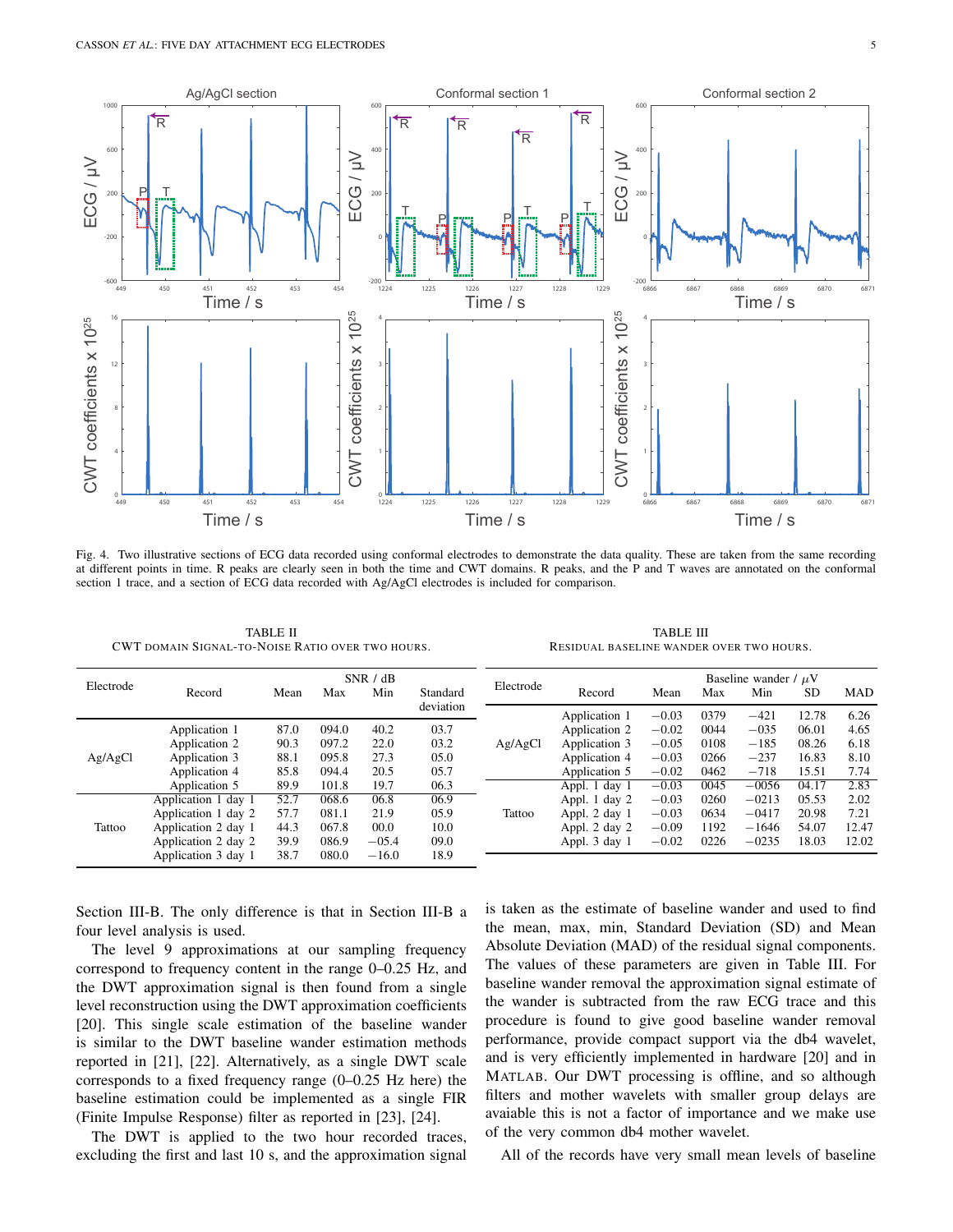

Fig. 4. Two illustrative sections of ECG data recorded using conformal electrodes to demonstrate the data quality. These are taken from the same recording at different points in time. R peaks are clearly seen in both the time and CWT domains. R peaks, and the P and T waves are annotated on the conformal section 1 trace, and a section of ECG data recorded with Ag/AgCl electrodes is included for comparison.

TABLE II CWT DOMAIN SIGNAL-TO-NOISE RATIO OVER TWO HOURS.

TABLE III RESIDUAL BASELINE WANDER OVER TWO HOURS.

| Electrode |                     | SNR / dB |       |         | Electrode | Baseline wander / $\mu$ V |               |         |      |         |           |            |
|-----------|---------------------|----------|-------|---------|-----------|---------------------------|---------------|---------|------|---------|-----------|------------|
|           | Record              | Mean     | Max   | Min     | Standard  |                           | Record        | Mean    | Max  | Min     | <b>SD</b> | <b>MAD</b> |
|           |                     |          |       |         | deviation |                           | Application 1 | $-0.03$ | 0379 | $-421$  | 12.78     | 6.26       |
| Ag/AgCl   | Application 1       | 87.0     | 094.0 | 40.2    | 03.7      | Ag/AgCl                   | Application 2 | $-0.02$ | 0044 | $-035$  | 06.01     | 4.65       |
|           | Application 2       | 90.3     | 097.2 | 22.0    | 03.2      |                           | Application 3 | $-0.05$ | 0108 | $-185$  | 08.26     | 6.18       |
|           | Application 3       | 88.1     | 095.8 | 27.3    | 05.0      |                           | Application 4 | $-0.03$ | 0266 | $-237$  | 16.83     | 8.10       |
|           | Application 4       | 85.8     | 094.4 | 20.5    | 05.7      |                           | Application 5 | $-0.02$ | 0462 | $-718$  | 15.51     | 7.74       |
|           | Application 5       | 89.9     | 101.8 | 19.7    | 06.3      |                           | Appl. 1 day 1 | $-0.03$ | 0045 | $-0056$ | 04.17     | 2.83       |
| Tattoo    | Application 1 day 1 | 52.7     | 068.6 | 06.8    | 06.9      |                           | Appl. 1 day 2 | $-0.03$ | 0260 | $-0213$ | 05.53     | 2.02       |
|           | Application 1 day 2 | 57.7     | 081.1 | 21.9    | 05.9      | Tattoo                    | Appl. 2 day 1 | $-0.03$ | 0634 | $-0417$ | 20.98     | 7.21       |
|           | Application 2 day 1 | 44.3     | 067.8 | 00.0    | 10.0      |                           | Appl. 2 day 2 | $-0.09$ | 1192 | $-1646$ | 54.07     | 12.47      |
|           | Application 2 day 2 | 39.9     | 086.9 | $-05.4$ | 09.0      |                           | Appl. 3 day 1 | $-0.02$ | 0226 | $-0235$ | 18.03     | 12.02      |
|           | Application 3 day 1 | 38.7     | 080.0 | $-16.0$ | 18.9      |                           |               |         |      |         |           |            |

Section III-B. The only difference is that in Section III-B a four level analysis is used.

The level 9 approximations at our sampling frequency correspond to frequency content in the range 0–0.25 Hz, and the DWT approximation signal is then found from a single level reconstruction using the DWT approximation coefficients [20]. This single scale estimation of the baseline wander is similar to the DWT baseline wander estimation methods reported in [21], [22]. Alternatively, as a single DWT scale corresponds to a fixed frequency range (0–0.25 Hz here) the baseline estimation could be implemented as a single FIR (Finite Impulse Response) filter as reported in [23], [24].

The DWT is applied to the two hour recorded traces, excluding the first and last 10 s, and the approximation signal is taken as the estimate of baseline wander and used to find the mean, max, min, Standard Deviation (SD) and Mean Absolute Deviation (MAD) of the residual signal components. The values of these parameters are given in Table III. For baseline wander removal the approximation signal estimate of the wander is subtracted from the raw ECG trace and this procedure is found to give good baseline wander removal performance, provide compact support via the db4 wavelet, and is very efficiently implemented in hardware [20] and in MATLAB. Our DWT processing is offline, and so although filters and mother wavelets with smaller group delays are avaiable this is not a factor of importance and we make use of the very common db4 mother wavelet.

All of the records have very small mean levels of baseline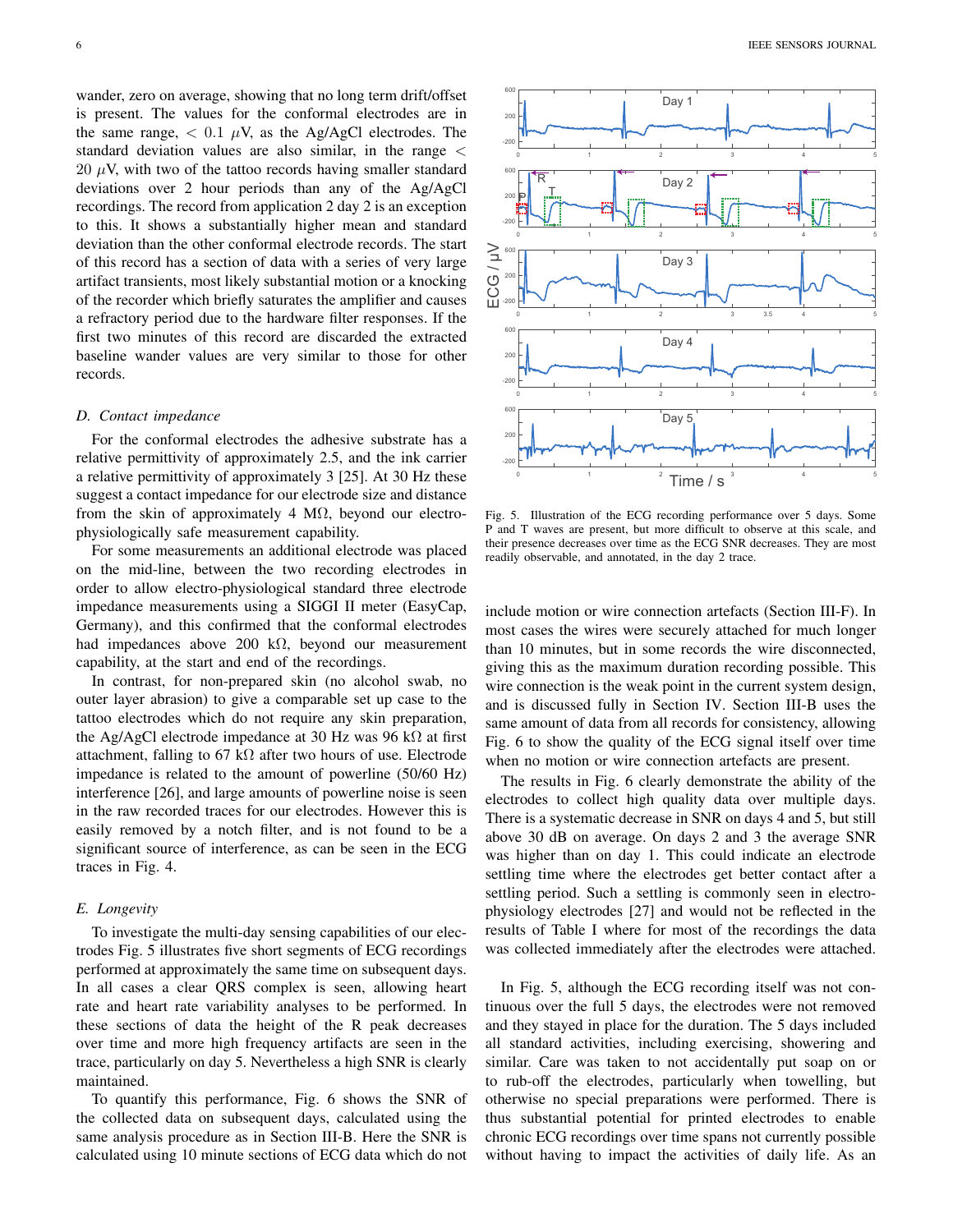wander, zero on average, showing that no long term drift/offset is present. The values for the conformal electrodes are in the same range,  $\langle 0.1 \mu V \rangle$ , as the Ag/AgCl electrodes. The standard deviation values are also similar, in the range <  $20 \mu V$ , with two of the tattoo records having smaller standard deviations over 2 hour periods than any of the Ag/AgCl recordings. The record from application 2 day 2 is an exception to this. It shows a substantially higher mean and standard deviation than the other conformal electrode records. The start of this record has a section of data with a series of very large artifact transients, most likely substantial motion or a knocking of the recorder which briefly saturates the amplifier and causes a refractory period due to the hardware filter responses. If the first two minutes of this record are discarded the extracted baseline wander values are very similar to those for other records.

#### *D. Contact impedance*

For the conformal electrodes the adhesive substrate has a relative permittivity of approximately 2.5, and the ink carrier a relative permittivity of approximately 3 [25]. At 30 Hz these suggest a contact impedance for our electrode size and distance from the skin of approximately 4 M $\Omega$ , beyond our electrophysiologically safe measurement capability.

For some measurements an additional electrode was placed on the mid-line, between the two recording electrodes in order to allow electro-physiological standard three electrode impedance measurements using a SIGGI II meter (EasyCap, Germany), and this confirmed that the conformal electrodes had impedances above 200 k $\Omega$ , beyond our measurement capability, at the start and end of the recordings.

In contrast, for non-prepared skin (no alcohol swab, no outer layer abrasion) to give a comparable set up case to the tattoo electrodes which do not require any skin preparation, the Ag/AgCl electrode impedance at 30 Hz was 96 k $\Omega$  at first attachment, falling to 67 k $\Omega$  after two hours of use. Electrode impedance is related to the amount of powerline (50/60 Hz) interference [26], and large amounts of powerline noise is seen in the raw recorded traces for our electrodes. However this is easily removed by a notch filter, and is not found to be a significant source of interference, as can be seen in the ECG traces in Fig. 4.

#### *E. Longevity*

To investigate the multi-day sensing capabilities of our electrodes Fig. 5 illustrates five short segments of ECG recordings performed at approximately the same time on subsequent days. In all cases a clear QRS complex is seen, allowing heart rate and heart rate variability analyses to be performed. In these sections of data the height of the R peak decreases over time and more high frequency artifacts are seen in the trace, particularly on day 5. Nevertheless a high SNR is clearly maintained.

To quantify this performance, Fig. 6 shows the SNR of the collected data on subsequent days, calculated using the same analysis procedure as in Section III-B. Here the SNR is calculated using 10 minute sections of ECG data which do not



Fig. 5. Illustration of the ECG recording performance over 5 days. Some P and T waves are present, but more difficult to observe at this scale, and their presence decreases over time as the ECG SNR decreases. They are most readily observable, and annotated, in the day 2 trace.

include motion or wire connection artefacts (Section III-F). In most cases the wires were securely attached for much longer than 10 minutes, but in some records the wire disconnected, giving this as the maximum duration recording possible. This wire connection is the weak point in the current system design, and is discussed fully in Section IV. Section III-B uses the same amount of data from all records for consistency, allowing Fig. 6 to show the quality of the ECG signal itself over time when no motion or wire connection artefacts are present.

The results in Fig. 6 clearly demonstrate the ability of the electrodes to collect high quality data over multiple days. There is a systematic decrease in SNR on days 4 and 5, but still above 30 dB on average. On days 2 and 3 the average SNR was higher than on day 1. This could indicate an electrode settling time where the electrodes get better contact after a settling period. Such a settling is commonly seen in electrophysiology electrodes [27] and would not be reflected in the results of Table I where for most of the recordings the data was collected immediately after the electrodes were attached.

In Fig. 5, although the ECG recording itself was not continuous over the full 5 days, the electrodes were not removed and they stayed in place for the duration. The 5 days included all standard activities, including exercising, showering and similar. Care was taken to not accidentally put soap on or to rub-off the electrodes, particularly when towelling, but otherwise no special preparations were performed. There is thus substantial potential for printed electrodes to enable chronic ECG recordings over time spans not currently possible without having to impact the activities of daily life. As an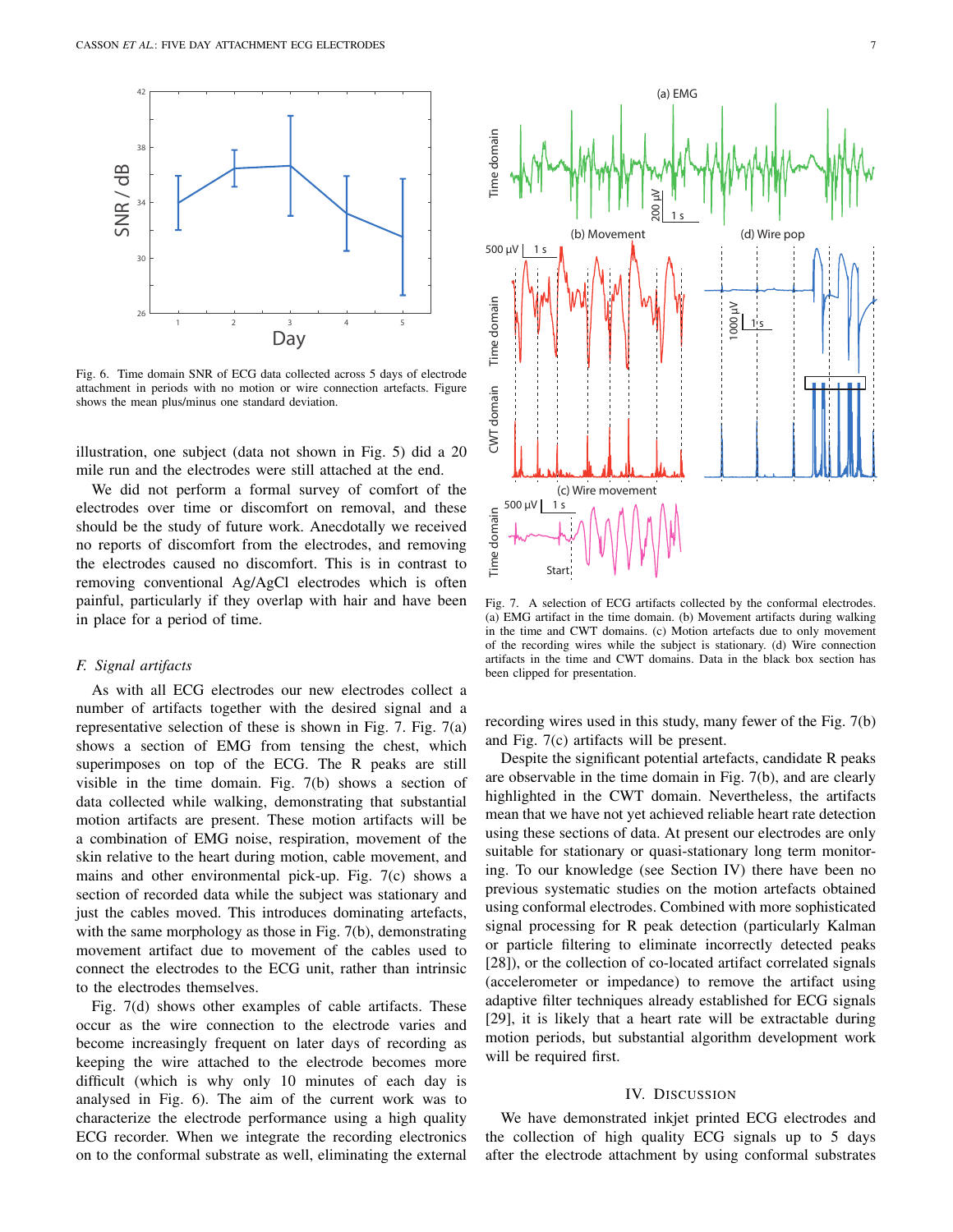

Fig. 6. Time domain SNR of ECG data collected across 5 days of electrode attachment in periods with no motion or wire connection artefacts. Figure shows the mean plus/minus one standard deviation.

illustration, one subject (data not shown in Fig. 5) did a 20 mile run and the electrodes were still attached at the end.

We did not perform a formal survey of comfort of the electrodes over time or discomfort on removal, and these should be the study of future work. Anecdotally we received no reports of discomfort from the electrodes, and removing the electrodes caused no discomfort. This is in contrast to removing conventional Ag/AgCl electrodes which is often painful, particularly if they overlap with hair and have been in place for a period of time.

#### *F. Signal artifacts*

As with all ECG electrodes our new electrodes collect a number of artifacts together with the desired signal and a representative selection of these is shown in Fig. 7. Fig. 7(a) shows a section of EMG from tensing the chest, which superimposes on top of the ECG. The R peaks are still visible in the time domain. Fig. 7(b) shows a section of data collected while walking, demonstrating that substantial motion artifacts are present. These motion artifacts will be a combination of EMG noise, respiration, movement of the skin relative to the heart during motion, cable movement, and mains and other environmental pick-up. Fig. 7(c) shows a section of recorded data while the subject was stationary and just the cables moved. This introduces dominating artefacts, with the same morphology as those in Fig. 7(b), demonstrating movement artifact due to movement of the cables used to connect the electrodes to the ECG unit, rather than intrinsic to the electrodes themselves.

Fig. 7(d) shows other examples of cable artifacts. These occur as the wire connection to the electrode varies and become increasingly frequent on later days of recording as keeping the wire attached to the electrode becomes more difficult (which is why only 10 minutes of each day is analysed in Fig. 6). The aim of the current work was to characterize the electrode performance using a high quality ECG recorder. When we integrate the recording electronics on to the conformal substrate as well, eliminating the external



Fig. 7. A selection of ECG artifacts collected by the conformal electrodes. (a) EMG artifact in the time domain. (b) Movement artifacts during walking in the time and CWT domains. (c) Motion artefacts due to only movement of the recording wires while the subject is stationary. (d) Wire connection artifacts in the time and CWT domains. Data in the black box section has been clipped for presentation.

recording wires used in this study, many fewer of the Fig. 7(b) and Fig. 7(c) artifacts will be present.

Despite the significant potential artefacts, candidate R peaks are observable in the time domain in Fig. 7(b), and are clearly highlighted in the CWT domain. Nevertheless, the artifacts mean that we have not yet achieved reliable heart rate detection using these sections of data. At present our electrodes are only suitable for stationary or quasi-stationary long term monitoring. To our knowledge (see Section IV) there have been no previous systematic studies on the motion artefacts obtained using conformal electrodes. Combined with more sophisticated signal processing for R peak detection (particularly Kalman or particle filtering to eliminate incorrectly detected peaks [28]), or the collection of co-located artifact correlated signals (accelerometer or impedance) to remove the artifact using adaptive filter techniques already established for ECG signals [29], it is likely that a heart rate will be extractable during motion periods, but substantial algorithm development work will be required first.

#### IV. DISCUSSION

We have demonstrated inkjet printed ECG electrodes and the collection of high quality ECG signals up to 5 days after the electrode attachment by using conformal substrates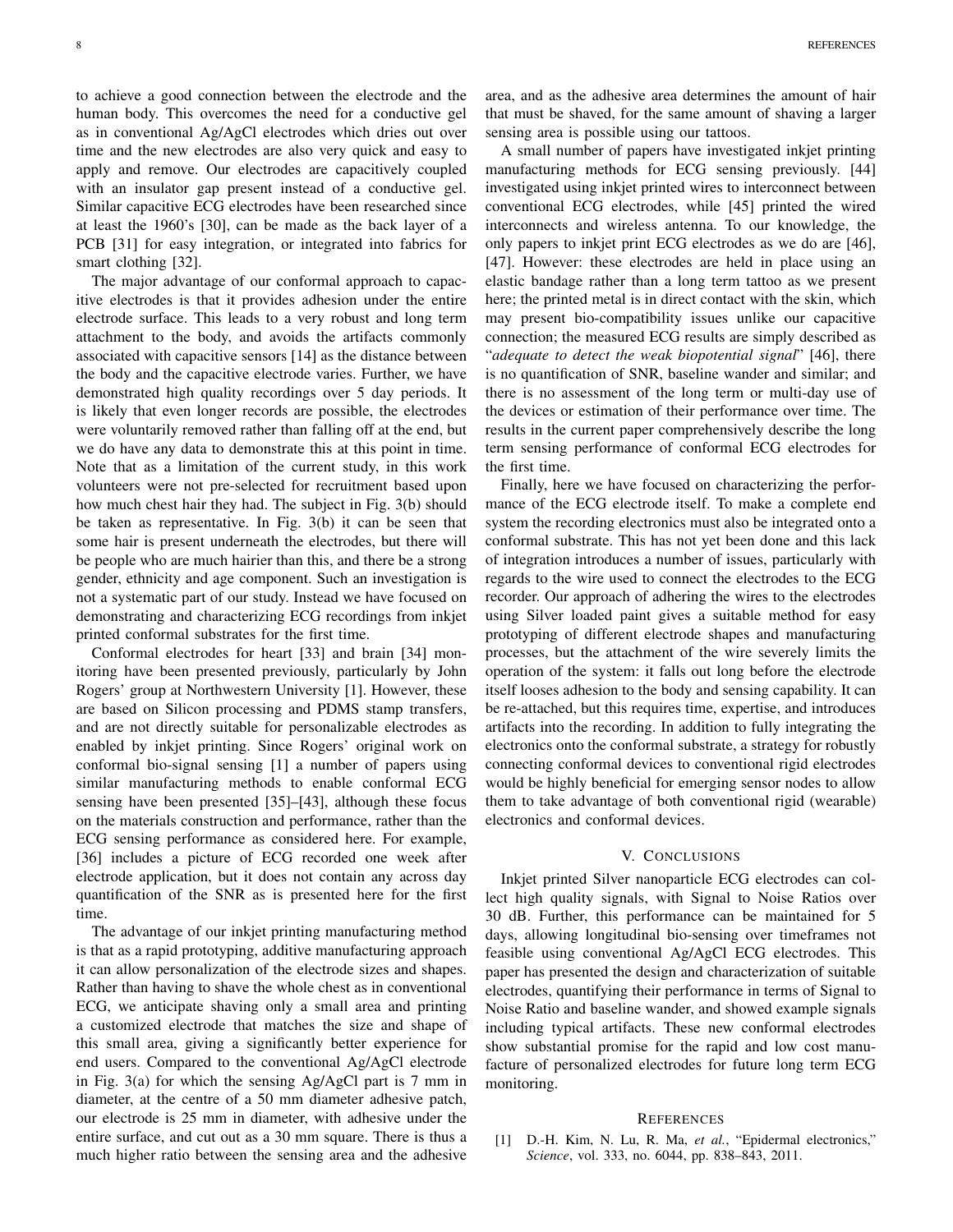to achieve a good connection between the electrode and the human body. This overcomes the need for a conductive gel as in conventional Ag/AgCl electrodes which dries out over time and the new electrodes are also very quick and easy to apply and remove. Our electrodes are capacitively coupled with an insulator gap present instead of a conductive gel. Similar capacitive ECG electrodes have been researched since at least the 1960's [30], can be made as the back layer of a PCB [31] for easy integration, or integrated into fabrics for smart clothing [32].

The major advantage of our conformal approach to capacitive electrodes is that it provides adhesion under the entire electrode surface. This leads to a very robust and long term attachment to the body, and avoids the artifacts commonly associated with capacitive sensors [14] as the distance between the body and the capacitive electrode varies. Further, we have demonstrated high quality recordings over 5 day periods. It is likely that even longer records are possible, the electrodes were voluntarily removed rather than falling off at the end, but we do have any data to demonstrate this at this point in time. Note that as a limitation of the current study, in this work volunteers were not pre-selected for recruitment based upon how much chest hair they had. The subject in Fig. 3(b) should be taken as representative. In Fig. 3(b) it can be seen that some hair is present underneath the electrodes, but there will be people who are much hairier than this, and there be a strong gender, ethnicity and age component. Such an investigation is not a systematic part of our study. Instead we have focused on demonstrating and characterizing ECG recordings from inkjet printed conformal substrates for the first time.

Conformal electrodes for heart [33] and brain [34] monitoring have been presented previously, particularly by John Rogers' group at Northwestern University [1]. However, these are based on Silicon processing and PDMS stamp transfers, and are not directly suitable for personalizable electrodes as enabled by inkjet printing. Since Rogers' original work on conformal bio-signal sensing [1] a number of papers using similar manufacturing methods to enable conformal ECG sensing have been presented [35]–[43], although these focus on the materials construction and performance, rather than the ECG sensing performance as considered here. For example, [36] includes a picture of ECG recorded one week after electrode application, but it does not contain any across day quantification of the SNR as is presented here for the first time.

The advantage of our inkjet printing manufacturing method is that as a rapid prototyping, additive manufacturing approach it can allow personalization of the electrode sizes and shapes. Rather than having to shave the whole chest as in conventional ECG, we anticipate shaving only a small area and printing a customized electrode that matches the size and shape of this small area, giving a significantly better experience for end users. Compared to the conventional Ag/AgCl electrode in Fig. 3(a) for which the sensing Ag/AgCl part is 7 mm in diameter, at the centre of a 50 mm diameter adhesive patch, our electrode is 25 mm in diameter, with adhesive under the entire surface, and cut out as a 30 mm square. There is thus a much higher ratio between the sensing area and the adhesive

area, and as the adhesive area determines the amount of hair that must be shaved, for the same amount of shaving a larger sensing area is possible using our tattoos.

A small number of papers have investigated inkjet printing manufacturing methods for ECG sensing previously. [44] investigated using inkjet printed wires to interconnect between conventional ECG electrodes, while [45] printed the wired interconnects and wireless antenna. To our knowledge, the only papers to inkjet print ECG electrodes as we do are [46], [47]. However: these electrodes are held in place using an elastic bandage rather than a long term tattoo as we present here; the printed metal is in direct contact with the skin, which may present bio-compatibility issues unlike our capacitive connection; the measured ECG results are simply described as "*adequate to detect the weak biopotential signal*" [46], there is no quantification of SNR, baseline wander and similar; and there is no assessment of the long term or multi-day use of the devices or estimation of their performance over time. The results in the current paper comprehensively describe the long term sensing performance of conformal ECG electrodes for the first time.

Finally, here we have focused on characterizing the performance of the ECG electrode itself. To make a complete end system the recording electronics must also be integrated onto a conformal substrate. This has not yet been done and this lack of integration introduces a number of issues, particularly with regards to the wire used to connect the electrodes to the ECG recorder. Our approach of adhering the wires to the electrodes using Silver loaded paint gives a suitable method for easy prototyping of different electrode shapes and manufacturing processes, but the attachment of the wire severely limits the operation of the system: it falls out long before the electrode itself looses adhesion to the body and sensing capability. It can be re-attached, but this requires time, expertise, and introduces artifacts into the recording. In addition to fully integrating the electronics onto the conformal substrate, a strategy for robustly connecting conformal devices to conventional rigid electrodes would be highly beneficial for emerging sensor nodes to allow them to take advantage of both conventional rigid (wearable) electronics and conformal devices.

#### V. CONCLUSIONS

Inkjet printed Silver nanoparticle ECG electrodes can collect high quality signals, with Signal to Noise Ratios over 30 dB. Further, this performance can be maintained for 5 days, allowing longitudinal bio-sensing over timeframes not feasible using conventional Ag/AgCl ECG electrodes. This paper has presented the design and characterization of suitable electrodes, quantifying their performance in terms of Signal to Noise Ratio and baseline wander, and showed example signals including typical artifacts. These new conformal electrodes show substantial promise for the rapid and low cost manufacture of personalized electrodes for future long term ECG monitoring.

#### **REFERENCES**

[1] D.-H. Kim, N. Lu, R. Ma, *et al.*, "Epidermal electronics," *Science*, vol. 333, no. 6044, pp. 838–843, 2011.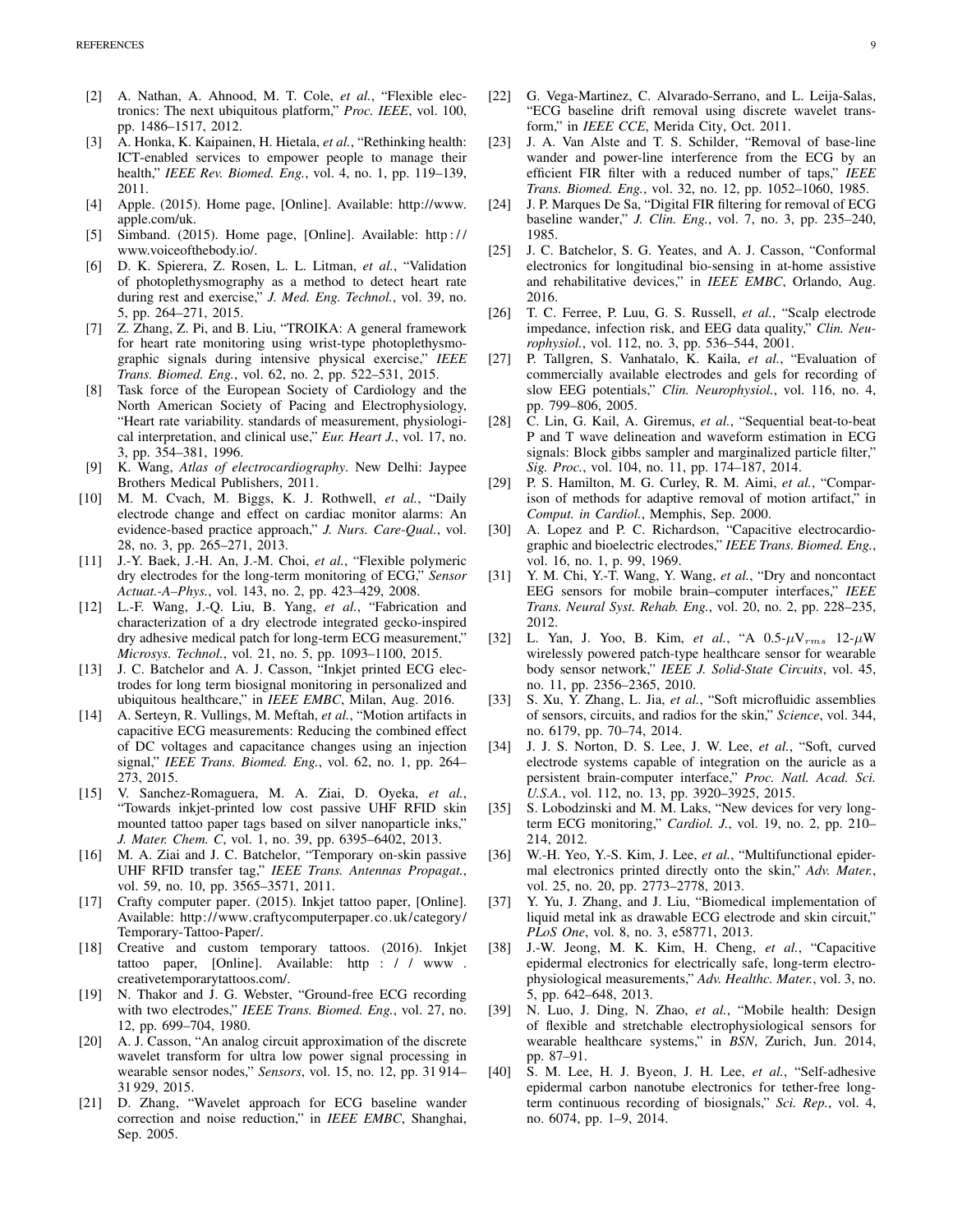- [2] A. Nathan, A. Ahnood, M. T. Cole, *et al.*, "Flexible electronics: The next ubiquitous platform," *Proc. IEEE*, vol. 100, pp. 1486–1517, 2012.
- [3] A. Honka, K. Kaipainen, H. Hietala, *et al.*, "Rethinking health: ICT-enabled services to empower people to manage their health," *IEEE Rev. Biomed. Eng.*, vol. 4, no. 1, pp. 119–139, 2011.
- [4] Apple. (2015). Home page, [Online]. Available: http://www. apple.com/uk.
- [5] Simband. (2015). Home page, [Online]. Available: http : / / www.voiceofthebody.io/.
- [6] D. K. Spierera, Z. Rosen, L. L. Litman, *et al.*, "Validation of photoplethysmography as a method to detect heart rate during rest and exercise," *J. Med. Eng. Technol.*, vol. 39, no. 5, pp. 264–271, 2015.
- [7] Z. Zhang, Z. Pi, and B. Liu, "TROIKA: A general framework for heart rate monitoring using wrist-type photoplethysmographic signals during intensive physical exercise," *IEEE Trans. Biomed. Eng.*, vol. 62, no. 2, pp. 522–531, 2015.
- [8] Task force of the European Society of Cardiology and the North American Society of Pacing and Electrophysiology, "Heart rate variability. standards of measurement, physiological interpretation, and clinical use," *Eur. Heart J.*, vol. 17, no. 3, pp. 354–381, 1996.
- [9] K. Wang, *Atlas of electrocardiography*. New Delhi: Jaypee Brothers Medical Publishers, 2011.
- [10] M. M. Cvach, M. Biggs, K. J. Rothwell, *et al.*, "Daily electrode change and effect on cardiac monitor alarms: An evidence-based practice approach," *J. Nurs. Care-Qual.*, vol. 28, no. 3, pp. 265–271, 2013.
- [11] J.-Y. Baek, J.-H. An, J.-M. Choi, *et al.*, "Flexible polymeric dry electrodes for the long-term monitoring of ECG," *Sensor Actuat.-A–Phys.*, vol. 143, no. 2, pp. 423–429, 2008.
- [12] L.-F. Wang, J.-Q. Liu, B. Yang, *et al.*, "Fabrication and characterization of a dry electrode integrated gecko-inspired dry adhesive medical patch for long-term ECG measurement," *Microsys. Technol.*, vol. 21, no. 5, pp. 1093–1100, 2015.
- [13] J. C. Batchelor and A. J. Casson, "Inkjet printed ECG electrodes for long term biosignal monitoring in personalized and ubiquitous healthcare," in *IEEE EMBC*, Milan, Aug. 2016.
- [14] A. Serteyn, R. Vullings, M. Meftah, *et al.*, "Motion artifacts in capacitive ECG measurements: Reducing the combined effect of DC voltages and capacitance changes using an injection signal," *IEEE Trans. Biomed. Eng.*, vol. 62, no. 1, pp. 264– 273, 2015.
- [15] V. Sanchez-Romaguera, M. A. Ziai, D. Oyeka, *et al.*, "Towards inkjet-printed low cost passive UHF RFID skin mounted tattoo paper tags based on silver nanoparticle inks," *J. Mater. Chem. C*, vol. 1, no. 39, pp. 6395–6402, 2013.
- [16] M. A. Ziai and J. C. Batchelor, "Temporary on-skin passive UHF RFID transfer tag," *IEEE Trans. Antennas Propagat.*, vol. 59, no. 10, pp. 3565–3571, 2011.
- [17] Crafty computer paper. (2015). Inkjet tattoo paper, [Online]. Available: http://www.craftycomputerpaper.co.uk/category/ Temporary-Tattoo-Paper/.
- [18] Creative and custom temporary tattoos. (2016). Inkjet tattoo paper, [Online]. Available: http : / / www . creativetemporarytattoos.com/.
- [19] N. Thakor and J. G. Webster, "Ground-free ECG recording with two electrodes," *IEEE Trans. Biomed. Eng.*, vol. 27, no. 12, pp. 699–704, 1980.
- [20] A. J. Casson, "An analog circuit approximation of the discrete wavelet transform for ultra low power signal processing in wearable sensor nodes," *Sensors*, vol. 15, no. 12, pp. 31 914– 31 929, 2015.
- [21] D. Zhang, "Wavelet approach for ECG baseline wander correction and noise reduction," in *IEEE EMBC*, Shanghai, Sep. 2005.
- [22] G. Vega-Martinez, C. Alvarado-Serrano, and L. Leija-Salas, "ECG baseline drift removal using discrete wavelet transform," in *IEEE CCE*, Merida City, Oct. 2011.
- [23] J. A. Van Alste and T. S. Schilder, "Removal of base-line wander and power-line interference from the ECG by an efficient FIR filter with a reduced number of taps," *IEEE Trans. Biomed. Eng.*, vol. 32, no. 12, pp. 1052–1060, 1985.
- [24] J. P. Marques De Sa, "Digital FIR filtering for removal of ECG baseline wander," *J. Clin. Eng.*, vol. 7, no. 3, pp. 235–240, 1985.
- [25] J. C. Batchelor, S. G. Yeates, and A. J. Casson, "Conformal electronics for longitudinal bio-sensing in at-home assistive and rehabilitative devices," in *IEEE EMBC*, Orlando, Aug. 2016.
- [26] T. C. Ferree, P. Luu, G. S. Russell, *et al.*, "Scalp electrode impedance, infection risk, and EEG data quality," *Clin. Neurophysiol.*, vol. 112, no. 3, pp. 536–544, 2001.
- [27] P. Tallgren, S. Vanhatalo, K. Kaila, *et al.*, "Evaluation of commercially available electrodes and gels for recording of slow EEG potentials," *Clin. Neurophysiol.*, vol. 116, no. 4, pp. 799–806, 2005.
- [28] C. Lin, G. Kail, A. Giremus, *et al.*, "Sequential beat-to-beat P and T wave delineation and waveform estimation in ECG signals: Block gibbs sampler and marginalized particle filter," *Sig. Proc.*, vol. 104, no. 11, pp. 174–187, 2014.
- [29] P. S. Hamilton, M. G. Curley, R. M. Aimi, *et al.*, "Comparison of methods for adaptive removal of motion artifact," in *Comput. in Cardiol.*, Memphis, Sep. 2000.
- [30] A. Lopez and P. C. Richardson, "Capacitive electrocardiographic and bioelectric electrodes," *IEEE Trans. Biomed. Eng.*, vol. 16, no. 1, p. 99, 1969.
- [31] Y. M. Chi, Y.-T. Wang, Y. Wang, *et al.*, "Dry and noncontact EEG sensors for mobile brain–computer interfaces," *IEEE Trans. Neural Syst. Rehab. Eng.*, vol. 20, no. 2, pp. 228–235, 2012.
- [32] L. Yan, J. Yoo, B. Kim, *et al.*, "A 0.5-µVrms 12-µW wirelessly powered patch-type healthcare sensor for wearable body sensor network," *IEEE J. Solid-State Circuits*, vol. 45, no. 11, pp. 2356–2365, 2010.
- [33] S. Xu, Y. Zhang, L. Jia, *et al.*, "Soft microfluidic assemblies of sensors, circuits, and radios for the skin," *Science*, vol. 344, no. 6179, pp. 70–74, 2014.
- [34] J. J. S. Norton, D. S. Lee, J. W. Lee, *et al.*, "Soft, curved electrode systems capable of integration on the auricle as a persistent brain-computer interface," *Proc. Natl. Acad. Sci. U.S.A.*, vol. 112, no. 13, pp. 3920–3925, 2015.
- [35] S. Lobodzinski and M. M. Laks, "New devices for very longterm ECG monitoring," *Cardiol. J.*, vol. 19, no. 2, pp. 210– 214, 2012.
- [36] W.-H. Yeo, Y.-S. Kim, J. Lee, *et al.*, "Multifunctional epidermal electronics printed directly onto the skin," *Adv. Mater.*, vol. 25, no. 20, pp. 2773–2778, 2013.
- [37] Y. Yu, J. Zhang, and J. Liu, "Biomedical implementation of liquid metal ink as drawable ECG electrode and skin circuit," *PLoS One*, vol. 8, no. 3, e58771, 2013.
- [38] J.-W. Jeong, M. K. Kim, H. Cheng, *et al.*, "Capacitive epidermal electronics for electrically safe, long-term electrophysiological measurements," *Adv. Healthc. Mater.*, vol. 3, no. 5, pp. 642–648, 2013.
- [39] N. Luo, J. Ding, N. Zhao, *et al.*, "Mobile health: Design of flexible and stretchable electrophysiological sensors for wearable healthcare systems," in *BSN*, Zurich, Jun. 2014, pp. 87–91.
- [40] S. M. Lee, H. J. Byeon, J. H. Lee, *et al.*, "Self-adhesive epidermal carbon nanotube electronics for tether-free longterm continuous recording of biosignals," *Sci. Rep.*, vol. 4, no. 6074, pp. 1–9, 2014.